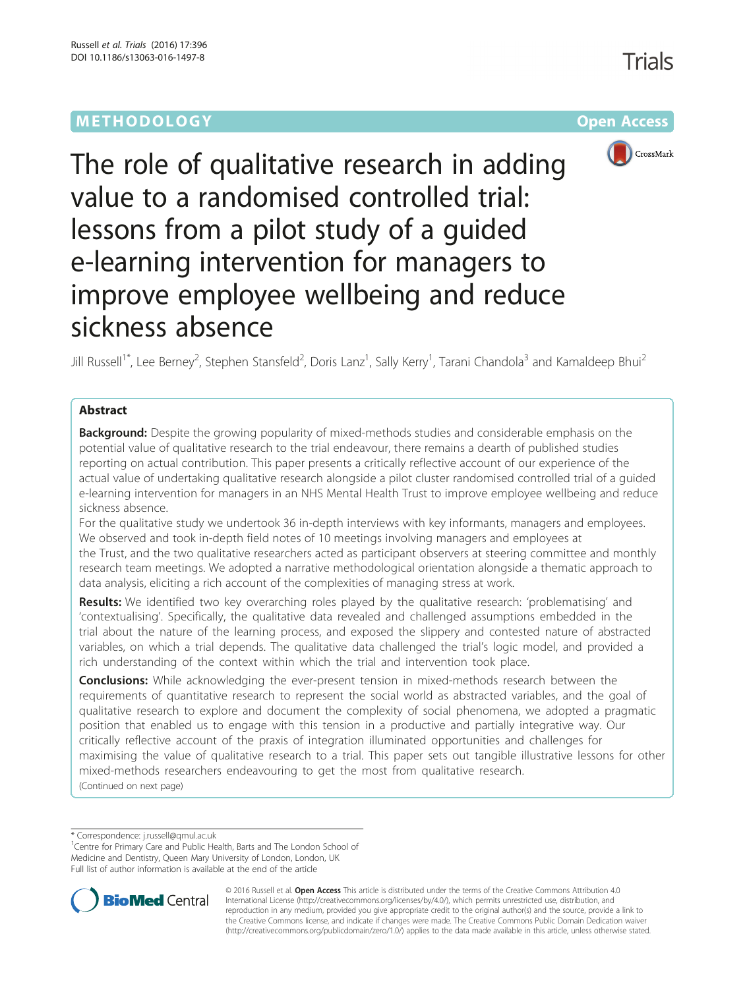# **METHODOLOGY CONSUMING ACCESS CONSUMING ACCESS**



The role of qualitative research in adding value to a randomised controlled trial: lessons from a pilot study of a guided e-learning intervention for managers to improve employee wellbeing and reduce sickness absence

Jill Russell<sup>1\*</sup>, Lee Berney<sup>2</sup>, Stephen Stansfeld<sup>2</sup>, Doris Lanz<sup>1</sup>, Sally Kerry<sup>1</sup>, Tarani Chandola<sup>3</sup> and Kamaldeep Bhui<sup>2</sup>

# Abstract

**Background:** Despite the growing popularity of mixed-methods studies and considerable emphasis on the potential value of qualitative research to the trial endeavour, there remains a dearth of published studies reporting on actual contribution. This paper presents a critically reflective account of our experience of the actual value of undertaking qualitative research alongside a pilot cluster randomised controlled trial of a guided e-learning intervention for managers in an NHS Mental Health Trust to improve employee wellbeing and reduce sickness absence.

For the qualitative study we undertook 36 in-depth interviews with key informants, managers and employees. We observed and took in-depth field notes of 10 meetings involving managers and employees at the Trust, and the two qualitative researchers acted as participant observers at steering committee and monthly research team meetings. We adopted a narrative methodological orientation alongside a thematic approach to data analysis, eliciting a rich account of the complexities of managing stress at work.

Results: We identified two key overarching roles played by the qualitative research: 'problematising' and 'contextualising'. Specifically, the qualitative data revealed and challenged assumptions embedded in the trial about the nature of the learning process, and exposed the slippery and contested nature of abstracted variables, on which a trial depends. The qualitative data challenged the trial's logic model, and provided a rich understanding of the context within which the trial and intervention took place.

**Conclusions:** While acknowledging the ever-present tension in mixed-methods research between the requirements of quantitative research to represent the social world as abstracted variables, and the goal of qualitative research to explore and document the complexity of social phenomena, we adopted a pragmatic position that enabled us to engage with this tension in a productive and partially integrative way. Our critically reflective account of the praxis of integration illuminated opportunities and challenges for maximising the value of qualitative research to a trial. This paper sets out tangible illustrative lessons for other mixed-methods researchers endeavouring to get the most from qualitative research.

(Continued on next page)

\* Correspondence: [j.russell@qmul.ac.uk](mailto:j.russell@qmul.ac.uk) <sup>1</sup>

<sup>&</sup>lt;sup>1</sup> Centre for Primary Care and Public Health, Barts and The London School of Medicine and Dentistry, Queen Mary University of London, London, UK Full list of author information is available at the end of the article



© 2016 Russell et al. Open Access This article is distributed under the terms of the Creative Commons Attribution 4.0 International License [\(http://creativecommons.org/licenses/by/4.0/](http://creativecommons.org/licenses/by/4.0/)), which permits unrestricted use, distribution, and reproduction in any medium, provided you give appropriate credit to the original author(s) and the source, provide a link to the Creative Commons license, and indicate if changes were made. The Creative Commons Public Domain Dedication waiver [\(http://creativecommons.org/publicdomain/zero/1.0/](http://creativecommons.org/publicdomain/zero/1.0/)) applies to the data made available in this article, unless otherwise stated.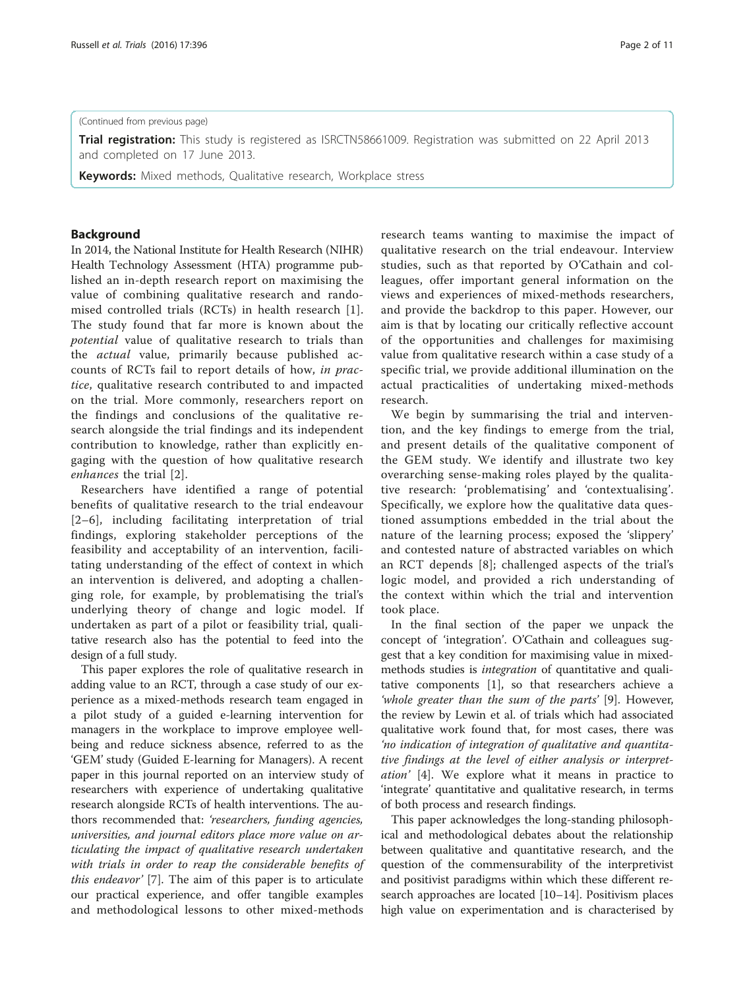#### (Continued from previous page)

**Trial registration:** This study is registered as [ISRCTN58661009](http://www.isrctn.com/ISRCTN58661009). Registration was submitted on 22 April 2013 and completed on 17 June 2013.

Keywords: Mixed methods, Qualitative research, Workplace stress

## Background

In 2014, the National Institute for Health Research (NIHR) Health Technology Assessment (HTA) programme published an in-depth research report on maximising the value of combining qualitative research and randomised controlled trials (RCTs) in health research [[1](#page-9-0)]. The study found that far more is known about the potential value of qualitative research to trials than the actual value, primarily because published accounts of RCTs fail to report details of how, in practice, qualitative research contributed to and impacted on the trial. More commonly, researchers report on the findings and conclusions of the qualitative research alongside the trial findings and its independent contribution to knowledge, rather than explicitly engaging with the question of how qualitative research enhances the trial [\[2\]](#page-9-0).

Researchers have identified a range of potential benefits of qualitative research to the trial endeavour [[2](#page-9-0)–[6](#page-9-0)], including facilitating interpretation of trial findings, exploring stakeholder perceptions of the feasibility and acceptability of an intervention, facilitating understanding of the effect of context in which an intervention is delivered, and adopting a challenging role, for example, by problematising the trial's underlying theory of change and logic model. If undertaken as part of a pilot or feasibility trial, qualitative research also has the potential to feed into the design of a full study.

This paper explores the role of qualitative research in adding value to an RCT, through a case study of our experience as a mixed-methods research team engaged in a pilot study of a guided e-learning intervention for managers in the workplace to improve employee wellbeing and reduce sickness absence, referred to as the 'GEM' study (Guided E-learning for Managers). A recent paper in this journal reported on an interview study of researchers with experience of undertaking qualitative research alongside RCTs of health interventions. The authors recommended that: 'researchers, funding agencies, universities, and journal editors place more value on articulating the impact of qualitative research undertaken with trials in order to reap the considerable benefits of this endeavor' [[7\]](#page-9-0). The aim of this paper is to articulate our practical experience, and offer tangible examples and methodological lessons to other mixed-methods

research teams wanting to maximise the impact of qualitative research on the trial endeavour. Interview studies, such as that reported by O'Cathain and colleagues, offer important general information on the views and experiences of mixed-methods researchers, and provide the backdrop to this paper. However, our aim is that by locating our critically reflective account of the opportunities and challenges for maximising value from qualitative research within a case study of a specific trial, we provide additional illumination on the actual practicalities of undertaking mixed-methods research.

We begin by summarising the trial and intervention, and the key findings to emerge from the trial, and present details of the qualitative component of the GEM study. We identify and illustrate two key overarching sense-making roles played by the qualitative research: 'problematising' and 'contextualising'. Specifically, we explore how the qualitative data questioned assumptions embedded in the trial about the nature of the learning process; exposed the 'slippery' and contested nature of abstracted variables on which an RCT depends [[8](#page-9-0)]; challenged aspects of the trial's logic model, and provided a rich understanding of the context within which the trial and intervention took place.

In the final section of the paper we unpack the concept of 'integration'. O'Cathain and colleagues suggest that a key condition for maximising value in mixedmethods studies is integration of quantitative and qualitative components [[1\]](#page-9-0), so that researchers achieve a 'whole greater than the sum of the parts' [[9\]](#page-10-0). However, the review by Lewin et al. of trials which had associated qualitative work found that, for most cases, there was 'no indication of integration of qualitative and quantitative findings at the level of either analysis or interpretation' [[4\]](#page-9-0). We explore what it means in practice to 'integrate' quantitative and qualitative research, in terms of both process and research findings.

This paper acknowledges the long-standing philosophical and methodological debates about the relationship between qualitative and quantitative research, and the question of the commensurability of the interpretivist and positivist paradigms within which these different research approaches are located [[10](#page-10-0)–[14](#page-10-0)]. Positivism places high value on experimentation and is characterised by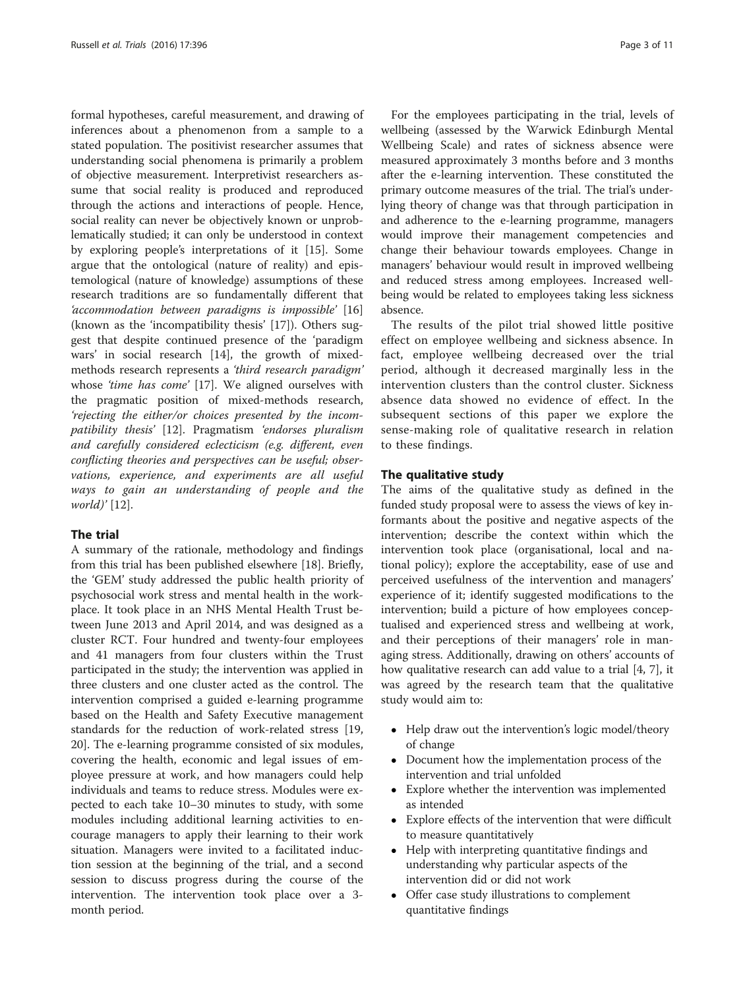formal hypotheses, careful measurement, and drawing of inferences about a phenomenon from a sample to a stated population. The positivist researcher assumes that understanding social phenomena is primarily a problem of objective measurement. Interpretivist researchers assume that social reality is produced and reproduced through the actions and interactions of people. Hence, social reality can never be objectively known or unproblematically studied; it can only be understood in context by exploring people's interpretations of it [\[15\]](#page-10-0). Some argue that the ontological (nature of reality) and epistemological (nature of knowledge) assumptions of these research traditions are so fundamentally different that 'accommodation between paradigms is impossible' [[16](#page-10-0)] (known as the 'incompatibility thesis' [\[17](#page-10-0)]). Others suggest that despite continued presence of the 'paradigm wars' in social research [\[14\]](#page-10-0), the growth of mixedmethods research represents a 'third research paradigm' whose 'time has come' [[17](#page-10-0)]. We aligned ourselves with the pragmatic position of mixed-methods research, 'rejecting the either/or choices presented by the incompatibility thesis' [[12\]](#page-10-0). Pragmatism 'endorses pluralism and carefully considered eclecticism (e.g. different, even conflicting theories and perspectives can be useful; observations, experience, and experiments are all useful ways to gain an understanding of people and the world)' [\[12](#page-10-0)].

# The trial

A summary of the rationale, methodology and findings from this trial has been published elsewhere [[18\]](#page-10-0). Briefly, the 'GEM' study addressed the public health priority of psychosocial work stress and mental health in the workplace. It took place in an NHS Mental Health Trust between June 2013 and April 2014, and was designed as a cluster RCT. Four hundred and twenty-four employees and 41 managers from four clusters within the Trust participated in the study; the intervention was applied in three clusters and one cluster acted as the control. The intervention comprised a guided e-learning programme based on the Health and Safety Executive management standards for the reduction of work-related stress [[19](#page-10-0), [20\]](#page-10-0). The e-learning programme consisted of six modules, covering the health, economic and legal issues of employee pressure at work, and how managers could help individuals and teams to reduce stress. Modules were expected to each take 10–30 minutes to study, with some modules including additional learning activities to encourage managers to apply their learning to their work situation. Managers were invited to a facilitated induction session at the beginning of the trial, and a second session to discuss progress during the course of the intervention. The intervention took place over a 3 month period.

For the employees participating in the trial, levels of wellbeing (assessed by the Warwick Edinburgh Mental Wellbeing Scale) and rates of sickness absence were measured approximately 3 months before and 3 months after the e-learning intervention. These constituted the primary outcome measures of the trial. The trial's underlying theory of change was that through participation in and adherence to the e-learning programme, managers would improve their management competencies and change their behaviour towards employees. Change in managers' behaviour would result in improved wellbeing and reduced stress among employees. Increased wellbeing would be related to employees taking less sickness absence.

The results of the pilot trial showed little positive effect on employee wellbeing and sickness absence. In fact, employee wellbeing decreased over the trial period, although it decreased marginally less in the intervention clusters than the control cluster. Sickness absence data showed no evidence of effect. In the subsequent sections of this paper we explore the sense-making role of qualitative research in relation to these findings.

# The qualitative study

The aims of the qualitative study as defined in the funded study proposal were to assess the views of key informants about the positive and negative aspects of the intervention; describe the context within which the intervention took place (organisational, local and national policy); explore the acceptability, ease of use and perceived usefulness of the intervention and managers' experience of it; identify suggested modifications to the intervention; build a picture of how employees conceptualised and experienced stress and wellbeing at work, and their perceptions of their managers' role in managing stress. Additionally, drawing on others' accounts of how qualitative research can add value to a trial [\[4](#page-9-0), [7](#page-9-0)], it was agreed by the research team that the qualitative study would aim to:

- Help draw out the intervention's logic model/theory of change
- Document how the implementation process of the intervention and trial unfolded
- Explore whether the intervention was implemented as intended
- Explore effects of the intervention that were difficult to measure quantitatively
- Help with interpreting quantitative findings and understanding why particular aspects of the intervention did or did not work
- Offer case study illustrations to complement quantitative findings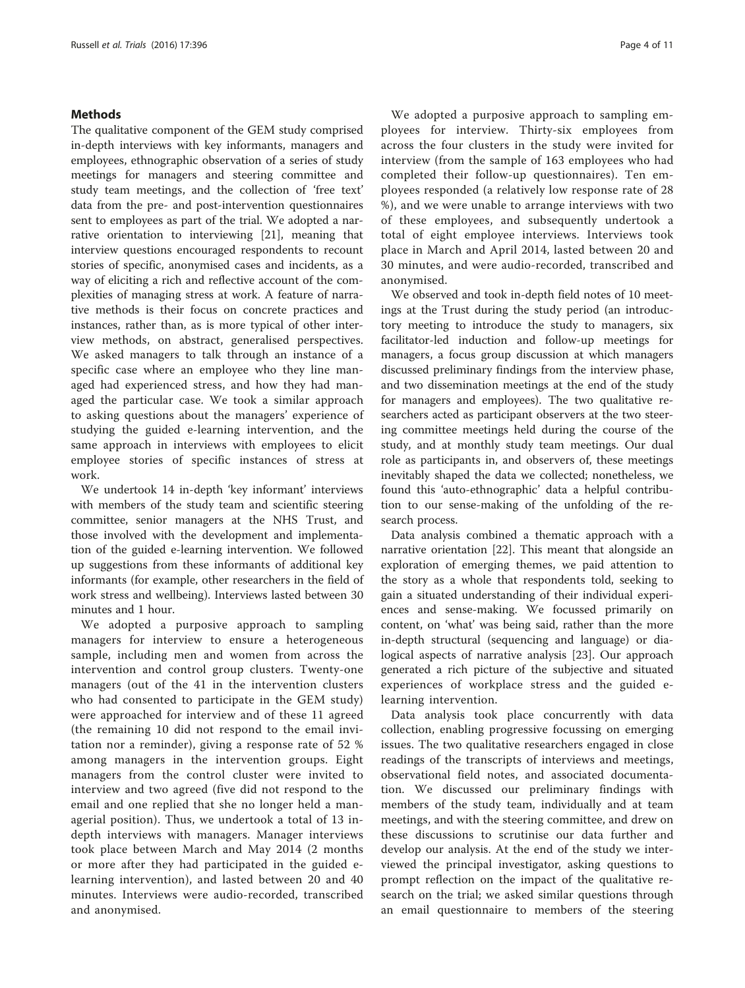## Methods

The qualitative component of the GEM study comprised in-depth interviews with key informants, managers and employees, ethnographic observation of a series of study meetings for managers and steering committee and study team meetings, and the collection of 'free text' data from the pre- and post-intervention questionnaires sent to employees as part of the trial. We adopted a narrative orientation to interviewing [[21](#page-10-0)], meaning that interview questions encouraged respondents to recount stories of specific, anonymised cases and incidents, as a way of eliciting a rich and reflective account of the complexities of managing stress at work. A feature of narrative methods is their focus on concrete practices and instances, rather than, as is more typical of other interview methods, on abstract, generalised perspectives. We asked managers to talk through an instance of a specific case where an employee who they line managed had experienced stress, and how they had managed the particular case. We took a similar approach to asking questions about the managers' experience of studying the guided e-learning intervention, and the same approach in interviews with employees to elicit employee stories of specific instances of stress at work.

We undertook 14 in-depth 'key informant' interviews with members of the study team and scientific steering committee, senior managers at the NHS Trust, and those involved with the development and implementation of the guided e-learning intervention. We followed up suggestions from these informants of additional key informants (for example, other researchers in the field of work stress and wellbeing). Interviews lasted between 30 minutes and 1 hour.

We adopted a purposive approach to sampling managers for interview to ensure a heterogeneous sample, including men and women from across the intervention and control group clusters. Twenty-one managers (out of the 41 in the intervention clusters who had consented to participate in the GEM study) were approached for interview and of these 11 agreed (the remaining 10 did not respond to the email invitation nor a reminder), giving a response rate of 52 % among managers in the intervention groups. Eight managers from the control cluster were invited to interview and two agreed (five did not respond to the email and one replied that she no longer held a managerial position). Thus, we undertook a total of 13 indepth interviews with managers. Manager interviews took place between March and May 2014 (2 months or more after they had participated in the guided elearning intervention), and lasted between 20 and 40 minutes. Interviews were audio-recorded, transcribed and anonymised.

We adopted a purposive approach to sampling employees for interview. Thirty-six employees from across the four clusters in the study were invited for interview (from the sample of 163 employees who had completed their follow-up questionnaires). Ten employees responded (a relatively low response rate of 28 %), and we were unable to arrange interviews with two of these employees, and subsequently undertook a total of eight employee interviews. Interviews took place in March and April 2014, lasted between 20 and 30 minutes, and were audio-recorded, transcribed and anonymised.

We observed and took in-depth field notes of 10 meetings at the Trust during the study period (an introductory meeting to introduce the study to managers, six facilitator-led induction and follow-up meetings for managers, a focus group discussion at which managers discussed preliminary findings from the interview phase, and two dissemination meetings at the end of the study for managers and employees). The two qualitative researchers acted as participant observers at the two steering committee meetings held during the course of the study, and at monthly study team meetings. Our dual role as participants in, and observers of, these meetings inevitably shaped the data we collected; nonetheless, we found this 'auto-ethnographic' data a helpful contribution to our sense-making of the unfolding of the research process.

Data analysis combined a thematic approach with a narrative orientation [[22\]](#page-10-0). This meant that alongside an exploration of emerging themes, we paid attention to the story as a whole that respondents told, seeking to gain a situated understanding of their individual experiences and sense-making. We focussed primarily on content, on 'what' was being said, rather than the more in-depth structural (sequencing and language) or dialogical aspects of narrative analysis [\[23](#page-10-0)]. Our approach generated a rich picture of the subjective and situated experiences of workplace stress and the guided elearning intervention.

Data analysis took place concurrently with data collection, enabling progressive focussing on emerging issues. The two qualitative researchers engaged in close readings of the transcripts of interviews and meetings, observational field notes, and associated documentation. We discussed our preliminary findings with members of the study team, individually and at team meetings, and with the steering committee, and drew on these discussions to scrutinise our data further and develop our analysis. At the end of the study we interviewed the principal investigator, asking questions to prompt reflection on the impact of the qualitative research on the trial; we asked similar questions through an email questionnaire to members of the steering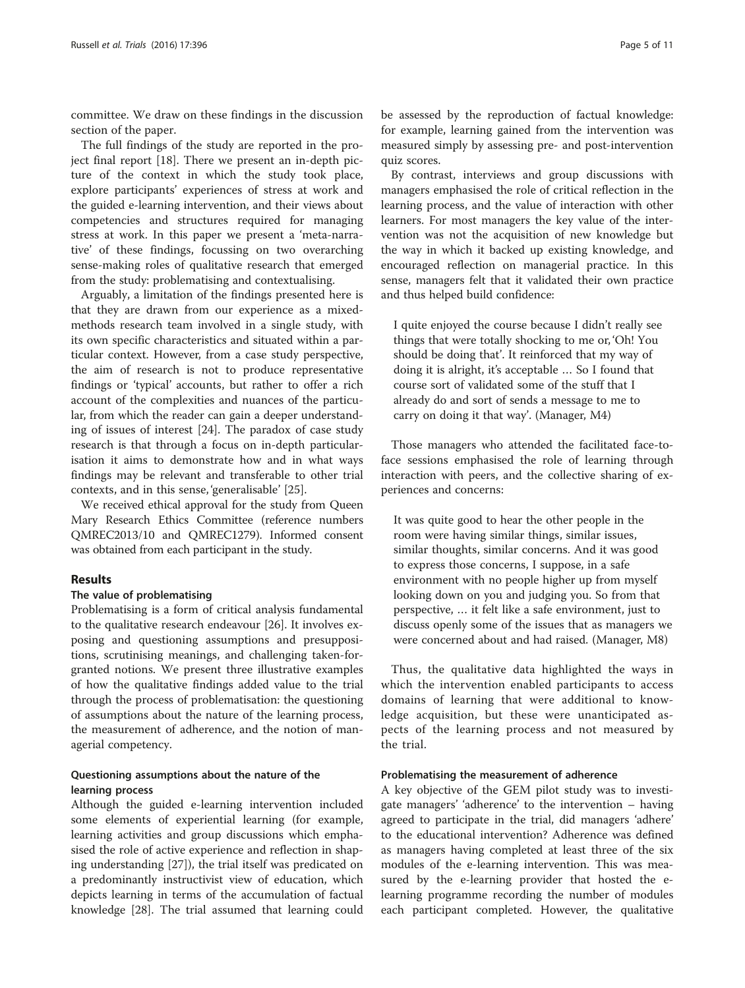committee. We draw on these findings in the discussion section of the paper.

The full findings of the study are reported in the project final report [\[18\]](#page-10-0). There we present an in-depth picture of the context in which the study took place, explore participants' experiences of stress at work and the guided e-learning intervention, and their views about competencies and structures required for managing stress at work. In this paper we present a 'meta-narrative' of these findings, focussing on two overarching sense-making roles of qualitative research that emerged from the study: problematising and contextualising.

Arguably, a limitation of the findings presented here is that they are drawn from our experience as a mixedmethods research team involved in a single study, with its own specific characteristics and situated within a particular context. However, from a case study perspective, the aim of research is not to produce representative findings or 'typical' accounts, but rather to offer a rich account of the complexities and nuances of the particular, from which the reader can gain a deeper understanding of issues of interest [\[24\]](#page-10-0). The paradox of case study research is that through a focus on in-depth particularisation it aims to demonstrate how and in what ways findings may be relevant and transferable to other trial contexts, and in this sense, 'generalisable' [\[25](#page-10-0)].

We received ethical approval for the study from Queen Mary Research Ethics Committee (reference numbers QMREC2013/10 and QMREC1279). Informed consent was obtained from each participant in the study.

# Results

### The value of problematising

Problematising is a form of critical analysis fundamental to the qualitative research endeavour [\[26](#page-10-0)]. It involves exposing and questioning assumptions and presuppositions, scrutinising meanings, and challenging taken-forgranted notions. We present three illustrative examples of how the qualitative findings added value to the trial through the process of problematisation: the questioning of assumptions about the nature of the learning process, the measurement of adherence, and the notion of managerial competency.

# Questioning assumptions about the nature of the learning process

Although the guided e-learning intervention included some elements of experiential learning (for example, learning activities and group discussions which emphasised the role of active experience and reflection in shaping understanding [\[27](#page-10-0)]), the trial itself was predicated on a predominantly instructivist view of education, which depicts learning in terms of the accumulation of factual knowledge [\[28\]](#page-10-0). The trial assumed that learning could

be assessed by the reproduction of factual knowledge: for example, learning gained from the intervention was measured simply by assessing pre- and post-intervention quiz scores.

By contrast, interviews and group discussions with managers emphasised the role of critical reflection in the learning process, and the value of interaction with other learners. For most managers the key value of the intervention was not the acquisition of new knowledge but the way in which it backed up existing knowledge, and encouraged reflection on managerial practice. In this sense, managers felt that it validated their own practice and thus helped build confidence:

I quite enjoyed the course because I didn't really see things that were totally shocking to me or, 'Oh! You should be doing that'. It reinforced that my way of doing it is alright, it's acceptable … So I found that course sort of validated some of the stuff that I already do and sort of sends a message to me to carry on doing it that way'. (Manager, M4)

Those managers who attended the facilitated face-toface sessions emphasised the role of learning through interaction with peers, and the collective sharing of experiences and concerns:

It was quite good to hear the other people in the room were having similar things, similar issues, similar thoughts, similar concerns. And it was good to express those concerns, I suppose, in a safe environment with no people higher up from myself looking down on you and judging you. So from that perspective, … it felt like a safe environment, just to discuss openly some of the issues that as managers we were concerned about and had raised. (Manager, M8)

Thus, the qualitative data highlighted the ways in which the intervention enabled participants to access domains of learning that were additional to knowledge acquisition, but these were unanticipated aspects of the learning process and not measured by the trial.

# Problematising the measurement of adherence

A key objective of the GEM pilot study was to investigate managers' 'adherence' to the intervention – having agreed to participate in the trial, did managers 'adhere' to the educational intervention? Adherence was defined as managers having completed at least three of the six modules of the e-learning intervention. This was measured by the e-learning provider that hosted the elearning programme recording the number of modules each participant completed. However, the qualitative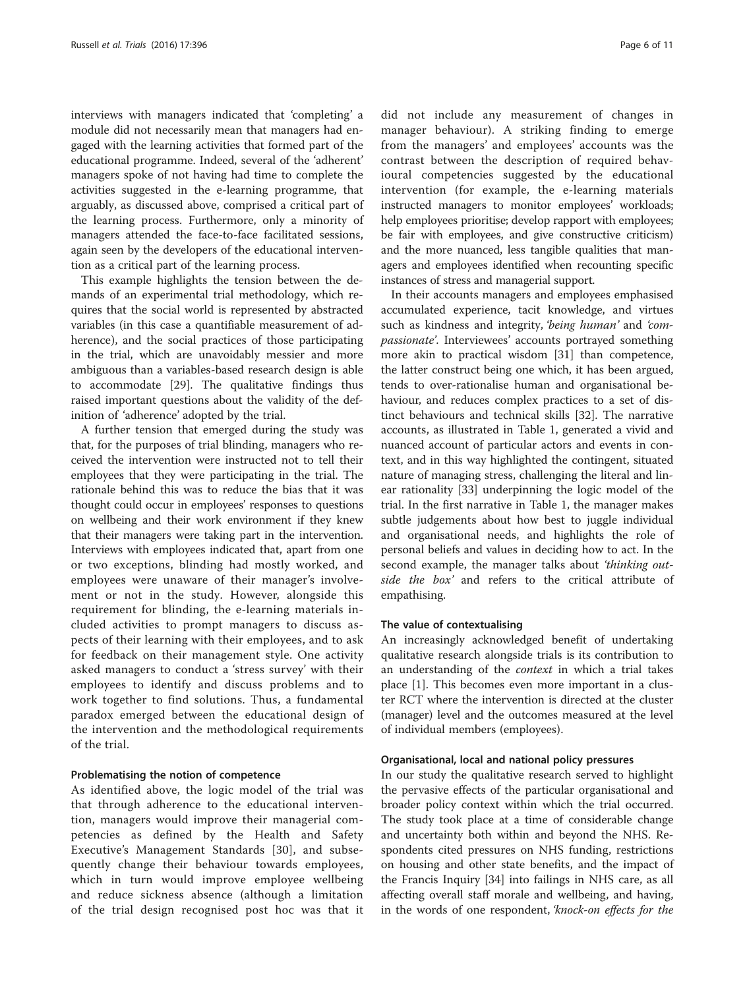interviews with managers indicated that 'completing' a module did not necessarily mean that managers had engaged with the learning activities that formed part of the educational programme. Indeed, several of the 'adherent' managers spoke of not having had time to complete the activities suggested in the e-learning programme, that arguably, as discussed above, comprised a critical part of the learning process. Furthermore, only a minority of managers attended the face-to-face facilitated sessions, again seen by the developers of the educational intervention as a critical part of the learning process.

This example highlights the tension between the demands of an experimental trial methodology, which requires that the social world is represented by abstracted variables (in this case a quantifiable measurement of adherence), and the social practices of those participating in the trial, which are unavoidably messier and more ambiguous than a variables-based research design is able to accommodate [\[29\]](#page-10-0). The qualitative findings thus raised important questions about the validity of the definition of 'adherence' adopted by the trial.

A further tension that emerged during the study was that, for the purposes of trial blinding, managers who received the intervention were instructed not to tell their employees that they were participating in the trial. The rationale behind this was to reduce the bias that it was thought could occur in employees' responses to questions on wellbeing and their work environment if they knew that their managers were taking part in the intervention. Interviews with employees indicated that, apart from one or two exceptions, blinding had mostly worked, and employees were unaware of their manager's involvement or not in the study. However, alongside this requirement for blinding, the e-learning materials included activities to prompt managers to discuss aspects of their learning with their employees, and to ask for feedback on their management style. One activity asked managers to conduct a 'stress survey' with their employees to identify and discuss problems and to work together to find solutions. Thus, a fundamental paradox emerged between the educational design of the intervention and the methodological requirements of the trial.

#### Problematising the notion of competence

As identified above, the logic model of the trial was that through adherence to the educational intervention, managers would improve their managerial competencies as defined by the Health and Safety Executive's Management Standards [[30](#page-10-0)], and subsequently change their behaviour towards employees, which in turn would improve employee wellbeing and reduce sickness absence (although a limitation of the trial design recognised post hoc was that it did not include any measurement of changes in manager behaviour). A striking finding to emerge from the managers' and employees' accounts was the contrast between the description of required behavioural competencies suggested by the educational intervention (for example, the e-learning materials instructed managers to monitor employees' workloads; help employees prioritise; develop rapport with employees; be fair with employees, and give constructive criticism) and the more nuanced, less tangible qualities that managers and employees identified when recounting specific instances of stress and managerial support.

In their accounts managers and employees emphasised accumulated experience, tacit knowledge, and virtues such as kindness and integrity, *being human*' and 'compassionate'. Interviewees' accounts portrayed something more akin to practical wisdom [\[31\]](#page-10-0) than competence, the latter construct being one which, it has been argued, tends to over-rationalise human and organisational behaviour, and reduces complex practices to a set of distinct behaviours and technical skills [[32\]](#page-10-0). The narrative accounts, as illustrated in Table [1](#page-6-0), generated a vivid and nuanced account of particular actors and events in context, and in this way highlighted the contingent, situated nature of managing stress, challenging the literal and linear rationality [\[33](#page-10-0)] underpinning the logic model of the trial. In the first narrative in Table [1](#page-6-0), the manager makes subtle judgements about how best to juggle individual and organisational needs, and highlights the role of personal beliefs and values in deciding how to act. In the second example, the manager talks about 'thinking outside the box' and refers to the critical attribute of empathising.

## The value of contextualising

An increasingly acknowledged benefit of undertaking qualitative research alongside trials is its contribution to an understanding of the context in which a trial takes place [[1](#page-9-0)]. This becomes even more important in a cluster RCT where the intervention is directed at the cluster (manager) level and the outcomes measured at the level of individual members (employees).

#### Organisational, local and national policy pressures

In our study the qualitative research served to highlight the pervasive effects of the particular organisational and broader policy context within which the trial occurred. The study took place at a time of considerable change and uncertainty both within and beyond the NHS. Respondents cited pressures on NHS funding, restrictions on housing and other state benefits, and the impact of the Francis Inquiry [[34](#page-10-0)] into failings in NHS care, as all affecting overall staff morale and wellbeing, and having, in the words of one respondent, 'knock-on effects for the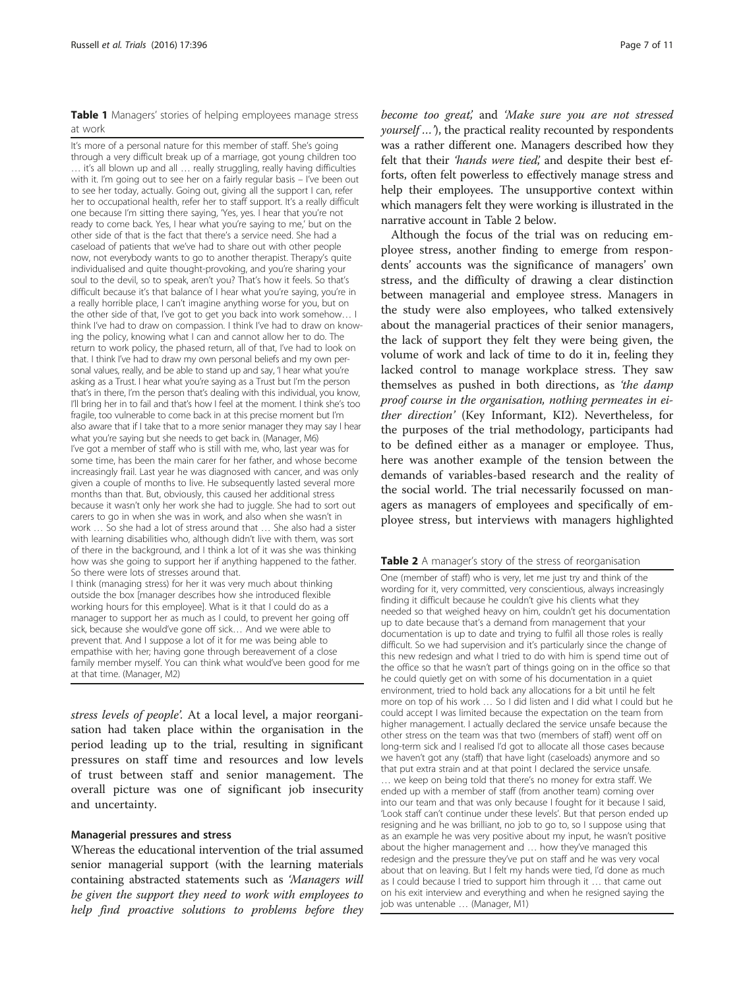<span id="page-6-0"></span>Table 1 Managers' stories of helping employees manage stress at work

It's more of a personal nature for this member of staff. She's going through a very difficult break up of a marriage, got young children too … it's all blown up and all … really struggling, really having difficulties with it. I'm going out to see her on a fairly regular basis – I've been out to see her today, actually. Going out, giving all the support I can, refer her to occupational health, refer her to staff support. It's a really difficult one because I'm sitting there saying, 'Yes, yes. I hear that you're not ready to come back. Yes, I hear what you're saying to me,' but on the other side of that is the fact that there's a service need. She had a caseload of patients that we've had to share out with other people now, not everybody wants to go to another therapist. Therapy's quite individualised and quite thought-provoking, and you're sharing your soul to the devil, so to speak, aren't you? That's how it feels. So that's difficult because it's that balance of I hear what you're saying, you're in a really horrible place, I can't imagine anything worse for you, but on the other side of that, I've got to get you back into work somehow… I think I've had to draw on compassion. I think I've had to draw on knowing the policy, knowing what I can and cannot allow her to do. The return to work policy, the phased return, all of that, I've had to look on that. I think I've had to draw my own personal beliefs and my own personal values, really, and be able to stand up and say, 'I hear what you're asking as a Trust. I hear what you're saying as a Trust but I'm the person that's in there, I'm the person that's dealing with this individual, you know, I'll bring her in to fail and that's how I feel at the moment. I think she's too fragile, too vulnerable to come back in at this precise moment but I'm also aware that if I take that to a more senior manager they may say I hear what you're saying but she needs to get back in. (Manager, M6) I've got a member of staff who is still with me, who, last year was for some time, has been the main carer for her father, and whose become increasingly frail. Last year he was diagnosed with cancer, and was only given a couple of months to live. He subsequently lasted several more months than that. But, obviously, this caused her additional stress because it wasn't only her work she had to juggle. She had to sort out carers to go in when she was in work, and also when she wasn't in work … So she had a lot of stress around that … She also had a sister with learning disabilities who, although didn't live with them, was sort of there in the background, and I think a lot of it was she was thinking how was she going to support her if anything happened to the father. So there were lots of stresses around that.

I think (managing stress) for her it was very much about thinking outside the box [manager describes how she introduced flexible working hours for this employee]. What is it that I could do as a manager to support her as much as I could, to prevent her going off sick, because she would've gone off sick… And we were able to prevent that. And I suppose a lot of it for me was being able to empathise with her; having gone through bereavement of a close family member myself. You can think what would've been good for me at that time. (Manager, M2)

stress levels of people'. At a local level, a major reorganisation had taken place within the organisation in the period leading up to the trial, resulting in significant pressures on staff time and resources and low levels of trust between staff and senior management. The overall picture was one of significant job insecurity and uncertainty.

### Managerial pressures and stress

Whereas the educational intervention of the trial assumed senior managerial support (with the learning materials containing abstracted statements such as 'Managers will be given the support they need to work with employees to help find proactive solutions to problems before they

become too great', and 'Make sure you are not stressed *yourself* ...  $\prime$ , the practical reality recounted by respondents was a rather different one. Managers described how they felt that their 'hands were tied', and despite their best efforts, often felt powerless to effectively manage stress and help their employees. The unsupportive context within which managers felt they were working is illustrated in the narrative account in Table 2 below.

Although the focus of the trial was on reducing employee stress, another finding to emerge from respondents' accounts was the significance of managers' own stress, and the difficulty of drawing a clear distinction between managerial and employee stress. Managers in the study were also employees, who talked extensively about the managerial practices of their senior managers, the lack of support they felt they were being given, the volume of work and lack of time to do it in, feeling they lacked control to manage workplace stress. They saw themselves as pushed in both directions, as 'the damp proof course in the organisation, nothing permeates in either direction' (Key Informant, KI2). Nevertheless, for the purposes of the trial methodology, participants had to be defined either as a manager or employee. Thus, here was another example of the tension between the demands of variables-based research and the reality of the social world. The trial necessarily focussed on managers as managers of employees and specifically of employee stress, but interviews with managers highlighted

# Table 2 A manager's story of the stress of reorganisation

One (member of staff) who is very, let me just try and think of the wording for it, very committed, very conscientious, always increasingly finding it difficult because he couldn't give his clients what they needed so that weighed heavy on him, couldn't get his documentation up to date because that's a demand from management that your documentation is up to date and trying to fulfil all those roles is really difficult. So we had supervision and it's particularly since the change of this new redesign and what I tried to do with him is spend time out of the office so that he wasn't part of things going on in the office so that he could quietly get on with some of his documentation in a quiet environment, tried to hold back any allocations for a bit until he felt more on top of his work … So I did listen and I did what I could but he could accept I was limited because the expectation on the team from higher management. I actually declared the service unsafe because the other stress on the team was that two (members of staff) went off on long-term sick and I realised I'd got to allocate all those cases because we haven't got any (staff) that have light (caseloads) anymore and so that put extra strain and at that point I declared the service unsafe. … we keep on being told that there's no money for extra staff. We ended up with a member of staff (from another team) coming over into our team and that was only because I fought for it because I said, 'Look staff can't continue under these levels'. But that person ended up resigning and he was brilliant, no job to go to, so I suppose using that as an example he was very positive about my input, he wasn't positive about the higher management and … how they've managed this redesign and the pressure they've put on staff and he was very vocal about that on leaving. But I felt my hands were tied, I'd done as much as I could because I tried to support him through it … that came out on his exit interview and everything and when he resigned saying the job was untenable … (Manager, M1)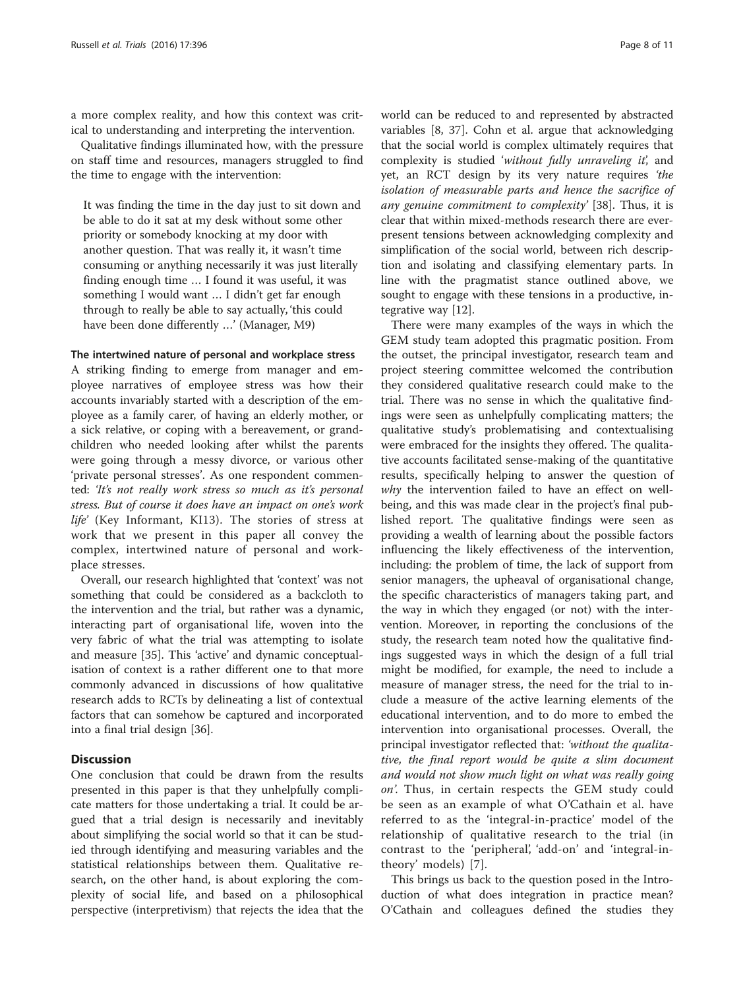a more complex reality, and how this context was critical to understanding and interpreting the intervention.

Qualitative findings illuminated how, with the pressure on staff time and resources, managers struggled to find the time to engage with the intervention:

It was finding the time in the day just to sit down and be able to do it sat at my desk without some other priority or somebody knocking at my door with another question. That was really it, it wasn't time consuming or anything necessarily it was just literally finding enough time … I found it was useful, it was something I would want … I didn't get far enough through to really be able to say actually, 'this could have been done differently …' (Manager, M9)

## The intertwined nature of personal and workplace stress

A striking finding to emerge from manager and employee narratives of employee stress was how their accounts invariably started with a description of the employee as a family carer, of having an elderly mother, or a sick relative, or coping with a bereavement, or grandchildren who needed looking after whilst the parents were going through a messy divorce, or various other 'private personal stresses'. As one respondent commented: 'It's not really work stress so much as it's personal stress. But of course it does have an impact on one's work life' (Key Informant, KI13). The stories of stress at work that we present in this paper all convey the complex, intertwined nature of personal and workplace stresses.

Overall, our research highlighted that 'context' was not something that could be considered as a backcloth to the intervention and the trial, but rather was a dynamic, interacting part of organisational life, woven into the very fabric of what the trial was attempting to isolate and measure [[35\]](#page-10-0). This 'active' and dynamic conceptualisation of context is a rather different one to that more commonly advanced in discussions of how qualitative research adds to RCTs by delineating a list of contextual factors that can somehow be captured and incorporated into a final trial design [\[36](#page-10-0)].

# Discussion

One conclusion that could be drawn from the results presented in this paper is that they unhelpfully complicate matters for those undertaking a trial. It could be argued that a trial design is necessarily and inevitably about simplifying the social world so that it can be studied through identifying and measuring variables and the statistical relationships between them. Qualitative research, on the other hand, is about exploring the complexity of social life, and based on a philosophical perspective (interpretivism) that rejects the idea that the world can be reduced to and represented by abstracted variables [[8,](#page-9-0) [37\]](#page-10-0). Cohn et al. argue that acknowledging that the social world is complex ultimately requires that complexity is studied 'without fully unraveling it', and yet, an RCT design by its very nature requires 'the isolation of measurable parts and hence the sacrifice of any genuine commitment to complexity' [[38\]](#page-10-0). Thus, it is clear that within mixed-methods research there are everpresent tensions between acknowledging complexity and simplification of the social world, between rich description and isolating and classifying elementary parts. In line with the pragmatist stance outlined above, we sought to engage with these tensions in a productive, integrative way [\[12](#page-10-0)].

There were many examples of the ways in which the GEM study team adopted this pragmatic position. From the outset, the principal investigator, research team and project steering committee welcomed the contribution they considered qualitative research could make to the trial. There was no sense in which the qualitative findings were seen as unhelpfully complicating matters; the qualitative study's problematising and contextualising were embraced for the insights they offered. The qualitative accounts facilitated sense-making of the quantitative results, specifically helping to answer the question of  $why$  the intervention failed to have an effect on wellbeing, and this was made clear in the project's final published report. The qualitative findings were seen as providing a wealth of learning about the possible factors influencing the likely effectiveness of the intervention, including: the problem of time, the lack of support from senior managers, the upheaval of organisational change, the specific characteristics of managers taking part, and the way in which they engaged (or not) with the intervention. Moreover, in reporting the conclusions of the study, the research team noted how the qualitative findings suggested ways in which the design of a full trial might be modified, for example, the need to include a measure of manager stress, the need for the trial to include a measure of the active learning elements of the educational intervention, and to do more to embed the intervention into organisational processes. Overall, the principal investigator reflected that: 'without the qualitative, the final report would be quite a slim document and would not show much light on what was really going on'. Thus, in certain respects the GEM study could be seen as an example of what O'Cathain et al. have referred to as the 'integral-in-practice' model of the relationship of qualitative research to the trial (in contrast to the 'peripheral', 'add-on' and 'integral-intheory' models) [[7](#page-9-0)].

This brings us back to the question posed in the Introduction of what does integration in practice mean? O'Cathain and colleagues defined the studies they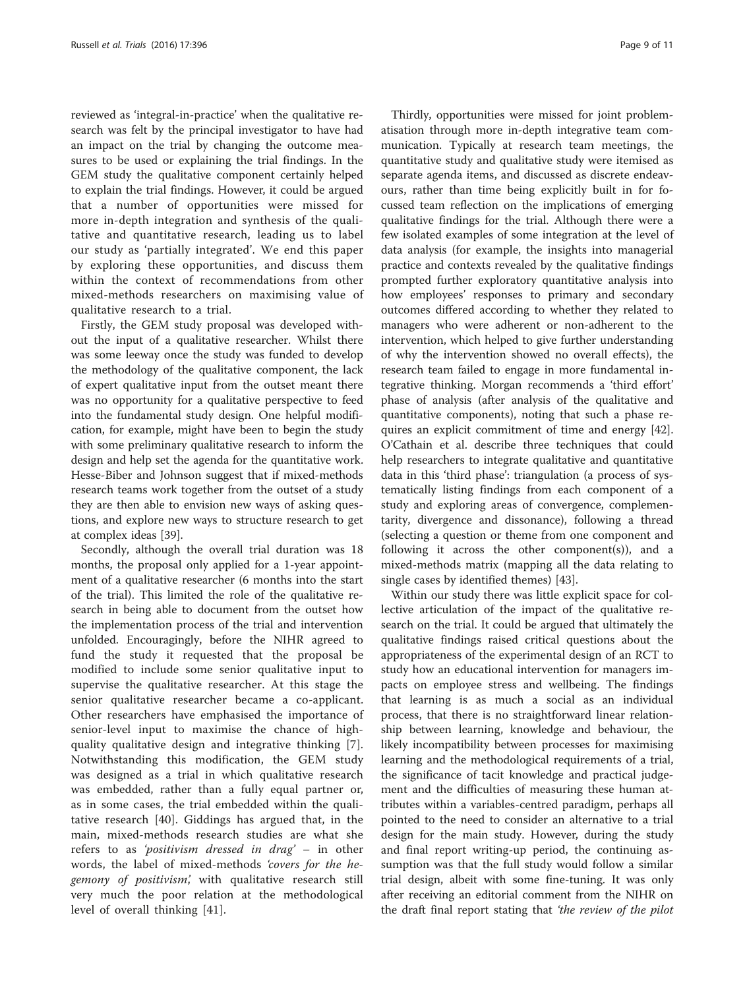reviewed as 'integral-in-practice' when the qualitative research was felt by the principal investigator to have had an impact on the trial by changing the outcome measures to be used or explaining the trial findings. In the GEM study the qualitative component certainly helped to explain the trial findings. However, it could be argued that a number of opportunities were missed for more in-depth integration and synthesis of the qualitative and quantitative research, leading us to label our study as 'partially integrated'. We end this paper by exploring these opportunities, and discuss them within the context of recommendations from other mixed-methods researchers on maximising value of qualitative research to a trial.

Firstly, the GEM study proposal was developed without the input of a qualitative researcher. Whilst there was some leeway once the study was funded to develop the methodology of the qualitative component, the lack of expert qualitative input from the outset meant there was no opportunity for a qualitative perspective to feed into the fundamental study design. One helpful modification, for example, might have been to begin the study with some preliminary qualitative research to inform the design and help set the agenda for the quantitative work. Hesse-Biber and Johnson suggest that if mixed-methods research teams work together from the outset of a study they are then able to envision new ways of asking questions, and explore new ways to structure research to get at complex ideas [\[39](#page-10-0)].

Secondly, although the overall trial duration was 18 months, the proposal only applied for a 1-year appointment of a qualitative researcher (6 months into the start of the trial). This limited the role of the qualitative research in being able to document from the outset how the implementation process of the trial and intervention unfolded. Encouragingly, before the NIHR agreed to fund the study it requested that the proposal be modified to include some senior qualitative input to supervise the qualitative researcher. At this stage the senior qualitative researcher became a co-applicant. Other researchers have emphasised the importance of senior-level input to maximise the chance of highquality qualitative design and integrative thinking [[7](#page-9-0)]. Notwithstanding this modification, the GEM study was designed as a trial in which qualitative research was embedded, rather than a fully equal partner or, as in some cases, the trial embedded within the qualitative research [[40\]](#page-10-0). Giddings has argued that, in the main, mixed-methods research studies are what she refers to as 'positivism dressed in drag' – in other words, the label of mixed-methods 'covers for the hegemony of positivism', with qualitative research still very much the poor relation at the methodological level of overall thinking [\[41](#page-10-0)].

Thirdly, opportunities were missed for joint problematisation through more in-depth integrative team communication. Typically at research team meetings, the quantitative study and qualitative study were itemised as separate agenda items, and discussed as discrete endeavours, rather than time being explicitly built in for focussed team reflection on the implications of emerging qualitative findings for the trial. Although there were a few isolated examples of some integration at the level of data analysis (for example, the insights into managerial practice and contexts revealed by the qualitative findings prompted further exploratory quantitative analysis into how employees' responses to primary and secondary outcomes differed according to whether they related to managers who were adherent or non-adherent to the intervention, which helped to give further understanding of why the intervention showed no overall effects), the research team failed to engage in more fundamental integrative thinking. Morgan recommends a 'third effort' phase of analysis (after analysis of the qualitative and quantitative components), noting that such a phase requires an explicit commitment of time and energy [\[42](#page-10-0)]. O'Cathain et al. describe three techniques that could help researchers to integrate qualitative and quantitative data in this 'third phase': triangulation (a process of systematically listing findings from each component of a study and exploring areas of convergence, complementarity, divergence and dissonance), following a thread (selecting a question or theme from one component and following it across the other component(s)), and a mixed-methods matrix (mapping all the data relating to single cases by identified themes) [\[43](#page-10-0)].

Within our study there was little explicit space for collective articulation of the impact of the qualitative research on the trial. It could be argued that ultimately the qualitative findings raised critical questions about the appropriateness of the experimental design of an RCT to study how an educational intervention for managers impacts on employee stress and wellbeing. The findings that learning is as much a social as an individual process, that there is no straightforward linear relationship between learning, knowledge and behaviour, the likely incompatibility between processes for maximising learning and the methodological requirements of a trial, the significance of tacit knowledge and practical judgement and the difficulties of measuring these human attributes within a variables-centred paradigm, perhaps all pointed to the need to consider an alternative to a trial design for the main study. However, during the study and final report writing-up period, the continuing assumption was that the full study would follow a similar trial design, albeit with some fine-tuning. It was only after receiving an editorial comment from the NIHR on the draft final report stating that 'the review of the pilot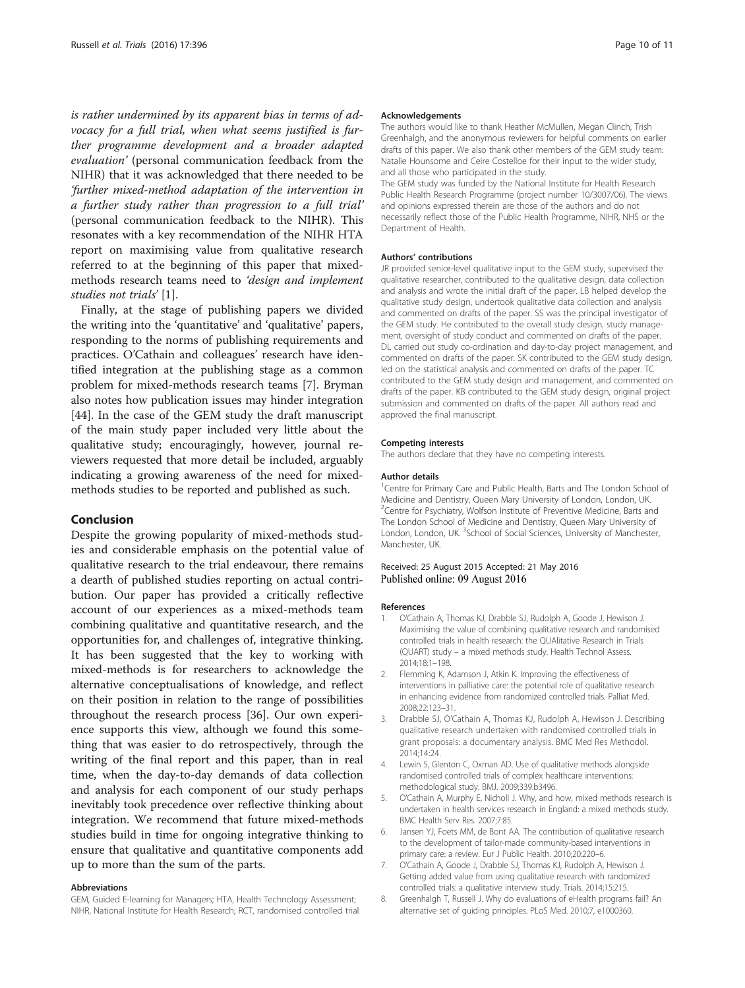<span id="page-9-0"></span>is rather undermined by its apparent bias in terms of advocacy for a full trial, when what seems justified is further programme development and a broader adapted evaluation' (personal communication feedback from the NIHR) that it was acknowledged that there needed to be 'further mixed-method adaptation of the intervention in a further study rather than progression to a full trial' (personal communication feedback to the NIHR). This resonates with a key recommendation of the NIHR HTA report on maximising value from qualitative research referred to at the beginning of this paper that mixedmethods research teams need to 'design and implement studies not trials' [1].

Finally, at the stage of publishing papers we divided the writing into the 'quantitative' and 'qualitative' papers, responding to the norms of publishing requirements and practices. O'Cathain and colleagues' research have identified integration at the publishing stage as a common problem for mixed-methods research teams [7]. Bryman also notes how publication issues may hinder integration [[44\]](#page-10-0). In the case of the GEM study the draft manuscript of the main study paper included very little about the qualitative study; encouragingly, however, journal reviewers requested that more detail be included, arguably indicating a growing awareness of the need for mixedmethods studies to be reported and published as such.

#### Conclusion

Despite the growing popularity of mixed-methods studies and considerable emphasis on the potential value of qualitative research to the trial endeavour, there remains a dearth of published studies reporting on actual contribution. Our paper has provided a critically reflective account of our experiences as a mixed-methods team combining qualitative and quantitative research, and the opportunities for, and challenges of, integrative thinking. It has been suggested that the key to working with mixed-methods is for researchers to acknowledge the alternative conceptualisations of knowledge, and reflect on their position in relation to the range of possibilities throughout the research process [\[36\]](#page-10-0). Our own experience supports this view, although we found this something that was easier to do retrospectively, through the writing of the final report and this paper, than in real time, when the day-to-day demands of data collection and analysis for each component of our study perhaps inevitably took precedence over reflective thinking about integration. We recommend that future mixed-methods studies build in time for ongoing integrative thinking to ensure that qualitative and quantitative components add up to more than the sum of the parts.

#### Abbreviations

GEM, Guided E-learning for Managers; HTA, Health Technology Assessment; NIHR, National Institute for Health Research; RCT, randomised controlled trial

#### Acknowledgements

The authors would like to thank Heather McMullen, Megan Clinch, Trish Greenhalgh, and the anonymous reviewers for helpful comments on earlier drafts of this paper. We also thank other members of the GEM study team: Natalie Hounsome and Ceire Costelloe for their input to the wider study, and all those who participated in the study.

The GEM study was funded by the National Institute for Health Research Public Health Research Programme (project number 10/3007/06). The views and opinions expressed therein are those of the authors and do not necessarily reflect those of the Public Health Programme, NIHR, NHS or the Department of Health.

#### Authors' contributions

JR provided senior-level qualitative input to the GEM study, supervised the qualitative researcher, contributed to the qualitative design, data collection and analysis and wrote the initial draft of the paper. LB helped develop the qualitative study design, undertook qualitative data collection and analysis and commented on drafts of the paper. SS was the principal investigator of the GEM study. He contributed to the overall study design, study management, oversight of study conduct and commented on drafts of the paper. DL carried out study co-ordination and day-to-day project management, and commented on drafts of the paper. SK contributed to the GEM study design, led on the statistical analysis and commented on drafts of the paper. TC contributed to the GEM study design and management, and commented on drafts of the paper. KB contributed to the GEM study design, original project submission and commented on drafts of the paper. All authors read and approved the final manuscript.

#### Competing interests

The authors declare that they have no competing interests.

#### Author details

<sup>1</sup> Centre for Primary Care and Public Health, Barts and The London School of Medicine and Dentistry, Queen Mary University of London, London, UK. <sup>2</sup> Centre for Psychiatry, Wolfson Institute of Preventive Medicine, Barts and The London School of Medicine and Dentistry, Queen Mary University of London, London, UK. <sup>3</sup>School of Social Sciences, University of Manchester, Manchester, UK.

#### Received: 25 August 2015 Accepted: 21 May 2016 Published online: 09 August 2016

#### References

- 1. O'Cathain A, Thomas KJ, Drabble SJ, Rudolph A, Goode J, Hewison J. Maximising the value of combining qualitative research and randomised controlled trials in health research: the QUAlitative Research in Trials (QUART) study – a mixed methods study. Health Technol Assess. 2014;18:1–198.
- 2. Flemming K, Adamson J, Atkin K. Improving the effectiveness of interventions in palliative care: the potential role of qualitative research in enhancing evidence from randomized controlled trials. Palliat Med. 2008;22:123–31.
- 3. Drabble SJ, O'Cathain A, Thomas KJ, Rudolph A, Hewison J. Describing qualitative research undertaken with randomised controlled trials in grant proposals: a documentary analysis. BMC Med Res Methodol. 2014;14:24.
- 4. Lewin S, Glenton C, Oxman AD. Use of qualitative methods alongside randomised controlled trials of complex healthcare interventions: methodological study. BMJ. 2009;339:b3496.
- 5. O'Cathain A, Murphy E, Nicholl J. Why, and how, mixed methods research is undertaken in health services research in England: a mixed methods study. BMC Health Serv Res. 2007;7:85.
- 6. Jansen YJ, Foets MM, de Bont AA. The contribution of qualitative research to the development of tailor-made community-based interventions in primary care: a review. Eur J Public Health. 2010;20:220–6.
- 7. O'Cathain A, Goode J, Drabble SJ, Thomas KJ, Rudolph A, Hewison J. Getting added value from using qualitative research with randomized controlled trials: a qualitative interview study. Trials. 2014;15:215.
- 8. Greenhalgh T, Russell J. Why do evaluations of eHealth programs fail? An alternative set of guiding principles. PLoS Med. 2010;7, e1000360.